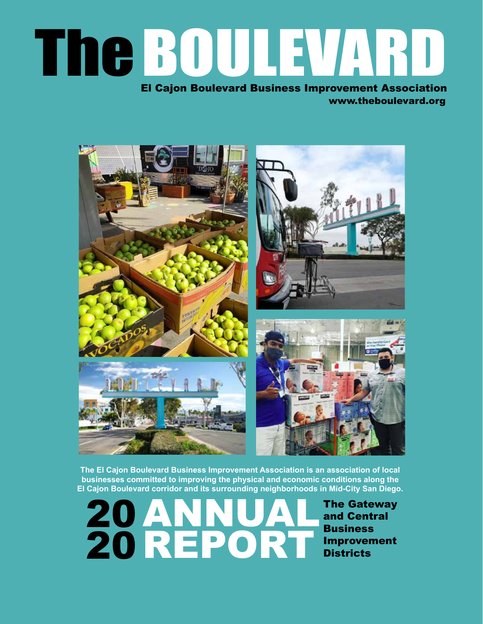# The BOULEVARD El Cajon Boulevard Business Improvement Association

www.theboulevard.org



**The El Cajon Boulevard Business Improvement Association is an association of local businesses committed to improving the physical and economic conditions along the El Cajon Boulevard corridor and its surrounding neighborhoods in Mid-City San Diego.**

ANNUAL REPORT 20 20

The Gateway and Central **Business** Improvement **Districts**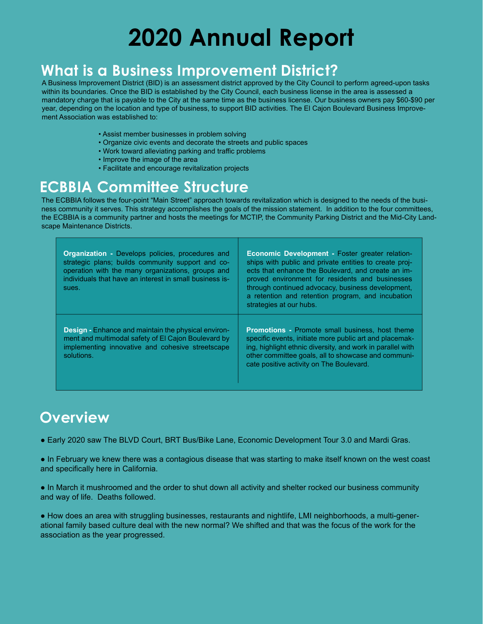#### **What is a Business Improvement District?**

A Business Improvement District (BID) is an assessment district approved by the City Council to perform agreed-upon tasks within its boundaries. Once the BID is established by the City Council, each business license in the area is assessed a mandatory charge that is payable to the City at the same time as the business license. Our business owners pay \$60-\$90 per year, depending on the location and type of business, to support BID activities. The El Cajon Boulevard Business Improvement Association was established to:

- Assist member businesses in problem solving
- Organize civic events and decorate the streets and public spaces
- Work toward alleviating parking and traffic problems
- Improve the image of the area
- Facilitate and encourage revitalization projects

#### **ECBBIA Committee Structure**

The ECBBIA follows the four-point "Main Street" approach towards revitalization which is designed to the needs of the business community it serves. This strategy accomplishes the goals of the mission statement. In addition to the four committees, the ECBBIA is a community partner and hosts the meetings for MCTIP, the Community Parking District and the Mid-City Landscape Maintenance Districts.

| <b>Organization - Develops policies, procedures and</b><br>strategic plans; builds community support and co-<br>operation with the many organizations, groups and<br>individuals that have an interest in small business is-<br>sues. | Economic Development - Foster greater relation-<br>ships with public and private entities to create proj-<br>ects that enhance the Boulevard, and create an im-<br>proved environment for residents and businesses<br>through continued advocacy, business development,<br>a retention and retention program, and incubation<br>strategies at our hubs. |
|---------------------------------------------------------------------------------------------------------------------------------------------------------------------------------------------------------------------------------------|---------------------------------------------------------------------------------------------------------------------------------------------------------------------------------------------------------------------------------------------------------------------------------------------------------------------------------------------------------|
| <b>Design - Enhance and maintain the physical environ-</b><br>ment and multimodal safety of El Cajon Boulevard by<br>implementing innovative and cohesive streetscape<br>solutions.                                                   | <b>Promotions - Promote small business, host theme</b><br>specific events, initiate more public art and placemak-<br>ing, highlight ethnic diversity, and work in parallel with<br>other committee goals, all to showcase and communi-<br>cate positive activity on The Boulevard.                                                                      |

#### **Overview**

● Early 2020 saw The BLVD Court, BRT Bus/Bike Lane, Economic Development Tour 3.0 and Mardi Gras.

● In February we knew there was a contagious disease that was starting to make itself known on the west coast and specifically here in California.

• In March it mushroomed and the order to shut down all activity and shelter rocked our business community and way of life. Deaths followed.

● How does an area with struggling businesses, restaurants and nightlife, LMI neighborhoods, a multi-generational family based culture deal with the new normal? We shifted and that was the focus of the work for the association as the year progressed.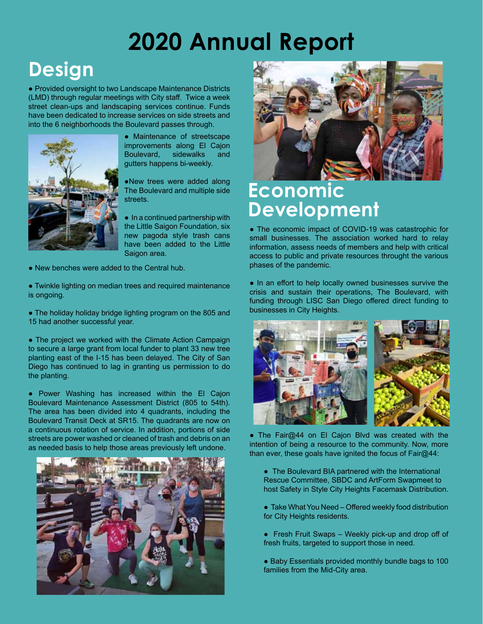### **Design**

● Provided oversight to two Landscape Maintenance Districts (LMD) through regular meetings with City staff. Twice a week street clean-ups and landscaping services continue. Funds have been dedicated to increase services on side streets and into the 6 neighborhoods the Boulevard passes through.



● Maintenance of streetscape improvements along El Cajon Boulevard, sidewalks and gutters happens bi-weekly.

●New trees were added along The Boulevard and multiple side streets.

● In a continued partnership with the Little Saigon Foundation, six new pagoda style trash cans have been added to the Little Saigon area.

● New benches were added to the Central hub.

● Twinkle lighting on median trees and required maintenance is ongoing.

• The holiday holiday bridge lighting program on the 805 and 15 had another successful year.

• The project we worked with the Climate Action Campaign to secure a large grant from local funder to plant 33 new tree planting east of the I-15 has been delayed. The City of San Diego has continued to lag in granting us permission to do the planting.

● Power Washing has increased within the El Cajon Boulevard Maintenance Assessment District (805 to 54th). The area has been divided into 4 quadrants, including the Boulevard Transit Deck at SR15. The quadrants are now on a continuous rotation of service. In addition, portions of side streets are power washed or cleaned of trash and debris on an as needed basis to help those areas previously left undone.





#### **Economic Development**

● The economic impact of COVID-19 was catastrophic for small businesses. The association worked hard to relay information, assess needs of members and help with critical access to public and private resources throught the various phases of the pandemic.

• In an effort to help locally owned businesses survive the crisis and sustain their operations, The Boulevard, with funding through LISC San Diego offered direct funding to businesses in City Heights.



• The Fair@44 on El Cajon Blvd was created with the intention of being a resource to the community. Now, more than ever, these goals have ignited the focus of Fair@44:

- The Boulevard BIA partnered with the International Rescue Committee, SBDC and ArtForm Swapmeet to host Safety in Style City Heights Facemask Distribution.
- Take What You Need Offered weekly food distribution for City Heights residents.
- Fresh Fruit Swaps Weekly pick-up and drop off of fresh fruits, targeted to support those in need.
- Baby Essentials provided monthly bundle bags to 100 families from the Mid-City area.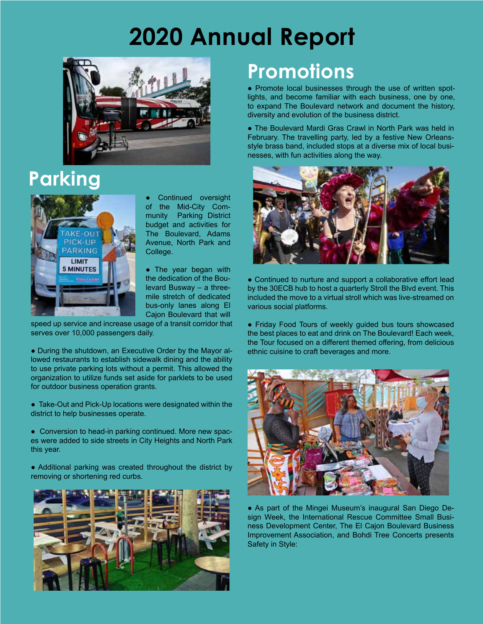

### **Parking**



Continued oversight of the Mid-City Community Parking District budget and activities for The Boulevard, Adams Avenue, North Park and College.

• The year began with the dedication of the Boulevard Busway – a threemile stretch of dedicated bus-only lanes along El Cajon Boulevard that will

speed up service and increase usage of a transit corridor that serves over 10,000 passengers daily.

• During the shutdown, an Executive Order by the Mayor allowed restaurants to establish sidewalk dining and the ability to use private parking lots without a permit. This allowed the organization to utilize funds set aside for parklets to be used for outdoor business operation grants.

● Take-Out and Pick-Up locations were designated within the district to help businesses operate.

• Conversion to head-in parking continued. More new spaces were added to side streets in City Heights and North Park this year.

• Additional parking was created throughout the district by removing or shortening red curbs.



### **Promotions**

● Promote local businesses through the use of written spotlights, and become familiar with each business, one by one, to expand The Boulevard network and document the history, diversity and evolution of the business district.

• The Boulevard Mardi Gras Crawl in North Park was held in February. The travelling party, led by a festive New Orleansstyle brass band, included stops at a diverse mix of local businesses, with fun activities along the way.



● Continued to nurture and support a collaborative effort lead by the 30ECB hub to host a quarterly Stroll the Blvd event. This included the move to a virtual stroll which was live-streamed on various social platforms.

● Friday Food Tours of weekly guided bus tours showcased the best places to eat and drink on The Boulevard! Each week, the Tour focused on a different themed offering, from delicious ethnic cuisine to craft beverages and more.



● As part of the Mingei Museum's inaugural San Diego Design Week, the International Rescue Committee Small Business Development Center, The El Cajon Boulevard Business Improvement Association, and Bohdi Tree Concerts presents Safety in Style: